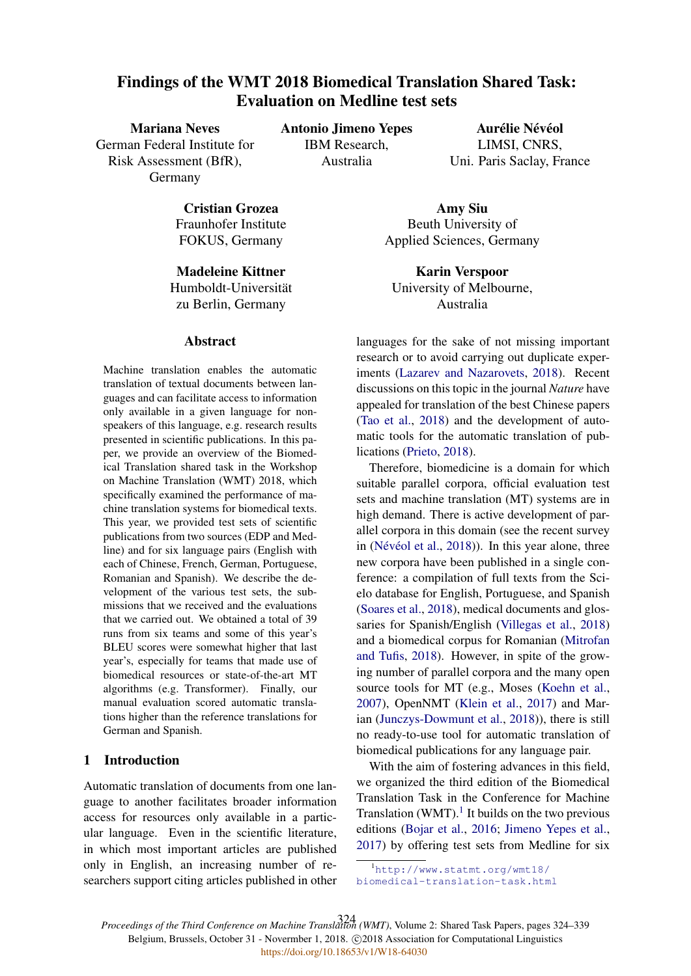# Findings of the WMT 2018 Biomedical Translation Shared Task: Evaluation on Medline test sets

Mariana Neves German Federal Institute for Risk Assessment (BfR), Germany

Antonio Jimeno Yepes IBM Research, Australia

Aurélie Névéol LIMSI, CNRS, Uni. Paris Saclay, France

Cristian Grozea Fraunhofer Institute FOKUS, Germany

Madeleine Kittner Humboldt-Universitat¨ zu Berlin, Germany

#### Abstract

Machine translation enables the automatic translation of textual documents between languages and can facilitate access to information only available in a given language for nonspeakers of this language, e.g. research results presented in scientific publications. In this paper, we provide an overview of the Biomedical Translation shared task in the Workshop on Machine Translation (WMT) 2018, which specifically examined the performance of machine translation systems for biomedical texts. This year, we provided test sets of scientific publications from two sources (EDP and Medline) and for six language pairs (English with each of Chinese, French, German, Portuguese, Romanian and Spanish). We describe the development of the various test sets, the submissions that we received and the evaluations that we carried out. We obtained a total of 39 runs from six teams and some of this year's BLEU scores were somewhat higher that last year's, especially for teams that made use of biomedical resources or state-of-the-art MT algorithms (e.g. Transformer). Finally, our manual evaluation scored automatic translations higher than the reference translations for German and Spanish.

## 1 Introduction

Automatic translation of documents from one language to another facilitates broader information access for resources only available in a particular language. Even in the scientific literature, in which most important articles are published only in English, an increasing number of researchers support citing articles published in other

Amy Siu Beuth University of Applied Sciences, Germany

Karin Verspoor University of Melbourne, Australia

languages for the sake of not missing important research or to avoid carrying out duplicate experiments (Lazarev and Nazarovets, 2018). Recent discussions on this topic in the journal *Nature* have appealed for translation of the best Chinese papers (Tao et al., 2018) and the development of automatic tools for the automatic translation of publications (Prieto, 2018).

Therefore, biomedicine is a domain for which suitable parallel corpora, official evaluation test sets and machine translation (MT) systems are in high demand. There is active development of parallel corpora in this domain (see the recent survey in (Névéol et al.,  $2018$ )). In this year alone, three new corpora have been published in a single conference: a compilation of full texts from the Scielo database for English, Portuguese, and Spanish (Soares et al., 2018), medical documents and glossaries for Spanish/English (Villegas et al., 2018) and a biomedical corpus for Romanian (Mitrofan and Tufis, 2018). However, in spite of the growing number of parallel corpora and the many open source tools for MT (e.g., Moses (Koehn et al., 2007), OpenNMT (Klein et al., 2017) and Marian (Junczys-Dowmunt et al., 2018)), there is still no ready-to-use tool for automatic translation of biomedical publications for any language pair.

With the aim of fostering advances in this field, we organized the third edition of the Biomedical Translation Task in the Conference for Machine Translation  $(WMT)$ .<sup>1</sup> It builds on the two previous editions (Bojar et al., 2016; Jimeno Yepes et al., 2017) by offering test sets from Medline for six

*Proceedings of the Third Conference on Machine Translation (WMT)*, Volume 2: Shared Task Papers, pages 324–339 324Belgium, Brussels, October 31 - Novermber 1, 2018. @2018 Association for Computational Linguistics <https://doi.org/10.18653/v1/W18-64030>

<sup>1</sup>http://www.statmt.org/wmt18/ biomedical-translation-task.html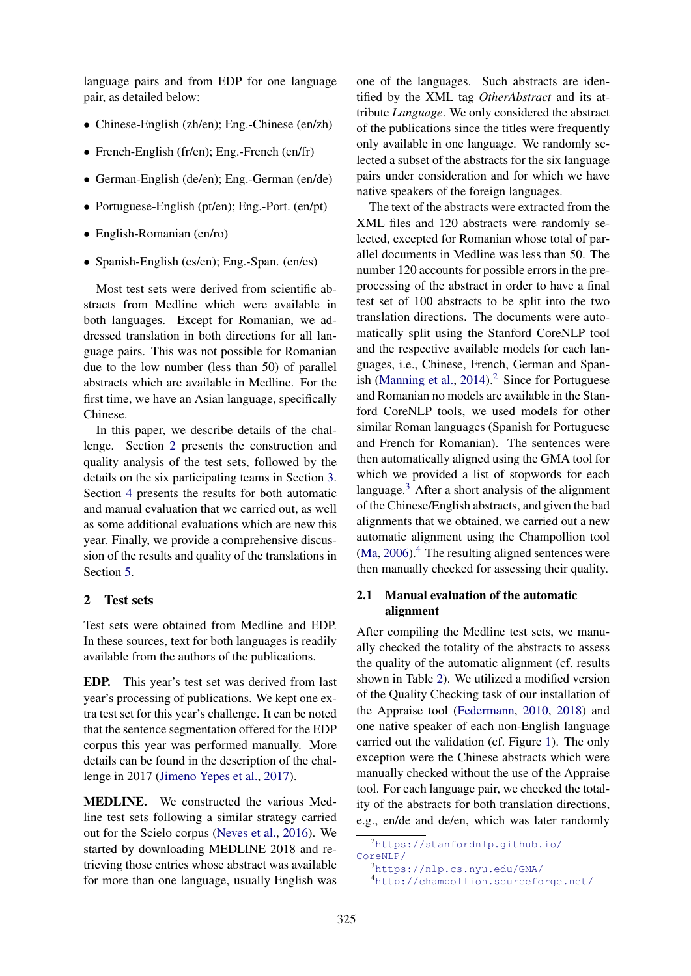language pairs and from EDP for one language pair, as detailed below:

- Chinese-English (zh/en); Eng.-Chinese (en/zh)
- French-English (fr/en); Eng.-French (en/fr)
- German-English (de/en); Eng.-German (en/de)
- Portuguese-English (pt/en); Eng.-Port. (en/pt)
- English-Romanian (en/ro)
- Spanish-English (es/en); Eng.-Span. (en/es)

Most test sets were derived from scientific abstracts from Medline which were available in both languages. Except for Romanian, we addressed translation in both directions for all language pairs. This was not possible for Romanian due to the low number (less than 50) of parallel abstracts which are available in Medline. For the first time, we have an Asian language, specifically Chinese.

In this paper, we describe details of the challenge. Section 2 presents the construction and quality analysis of the test sets, followed by the details on the six participating teams in Section 3. Section 4 presents the results for both automatic and manual evaluation that we carried out, as well as some additional evaluations which are new this year. Finally, we provide a comprehensive discussion of the results and quality of the translations in Section 5.

## 2 Test sets

Test sets were obtained from Medline and EDP. In these sources, text for both languages is readily available from the authors of the publications.

EDP. This year's test set was derived from last year's processing of publications. We kept one extra test set for this year's challenge. It can be noted that the sentence segmentation offered for the EDP corpus this year was performed manually. More details can be found in the description of the challenge in 2017 (Jimeno Yepes et al., 2017).

MEDLINE. We constructed the various Medline test sets following a similar strategy carried out for the Scielo corpus (Neves et al., 2016). We started by downloading MEDLINE 2018 and retrieving those entries whose abstract was available for more than one language, usually English was

one of the languages. Such abstracts are identified by the XML tag *OtherAbstract* and its attribute *Language*. We only considered the abstract of the publications since the titles were frequently only available in one language. We randomly selected a subset of the abstracts for the six language pairs under consideration and for which we have native speakers of the foreign languages.

The text of the abstracts were extracted from the XML files and 120 abstracts were randomly selected, excepted for Romanian whose total of parallel documents in Medline was less than 50. The number 120 accounts for possible errors in the preprocessing of the abstract in order to have a final test set of 100 abstracts to be split into the two translation directions. The documents were automatically split using the Stanford CoreNLP tool and the respective available models for each languages, i.e., Chinese, French, German and Spanish (Manning et al.,  $2014$ ).<sup>2</sup> Since for Portuguese and Romanian no models are available in the Stanford CoreNLP tools, we used models for other similar Roman languages (Spanish for Portuguese and French for Romanian). The sentences were then automatically aligned using the GMA tool for which we provided a list of stopwords for each language. $3$  After a short analysis of the alignment of the Chinese/English abstracts, and given the bad alignments that we obtained, we carried out a new automatic alignment using the Champollion tool  $(Ma, 2006).$ <sup>4</sup> The resulting aligned sentences were then manually checked for assessing their quality.

## 2.1 Manual evaluation of the automatic alignment

After compiling the Medline test sets, we manually checked the totality of the abstracts to assess the quality of the automatic alignment (cf. results shown in Table 2). We utilized a modified version of the Quality Checking task of our installation of the Appraise tool (Federmann, 2010, 2018) and one native speaker of each non-English language carried out the validation (cf. Figure 1). The only exception were the Chinese abstracts which were manually checked without the use of the Appraise tool. For each language pair, we checked the totality of the abstracts for both translation directions, e.g., en/de and de/en, which was later randomly

<sup>2</sup>https://stanfordnlp.github.io/

CoreNLP/

<sup>3</sup>https://nlp.cs.nyu.edu/GMA/

<sup>4</sup>http://champollion.sourceforge.net/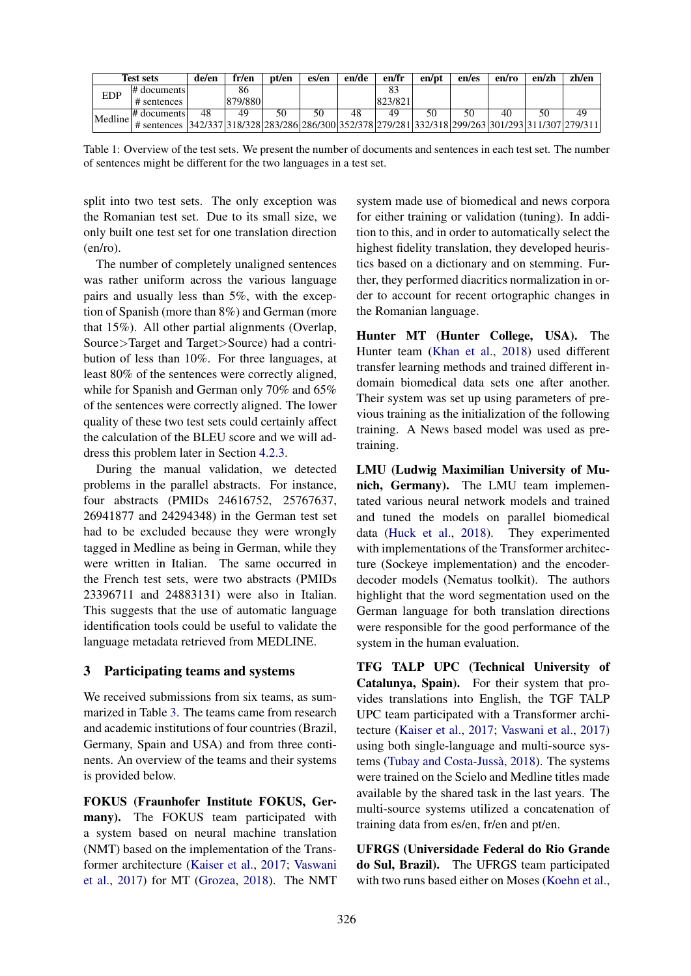|            | <b>Test sets</b>                                                                                    | de/en | fr/en   | pt/en | es/en | en/de | en/fr   | en/pt | en/es | en/ro | en/zh | zh/en |
|------------|-----------------------------------------------------------------------------------------------------|-------|---------|-------|-------|-------|---------|-------|-------|-------|-------|-------|
| <b>EDP</b> | # documents                                                                                         |       | 86      |       |       |       |         |       |       |       |       |       |
|            | # sentences                                                                                         |       | 879/880 |       |       |       | 823/821 |       |       |       |       |       |
| Medline    | $\#$ documents                                                                                      | 48    | 49      | 50    |       | 48    | 49      | 50    | 50    |       |       | 49    |
|            | # sentences 342/337 318/328 283/286 286/300 352/378 279/281 332/318 299/263 301/293 311/307 279/311 |       |         |       |       |       |         |       |       |       |       |       |

Table 1: Overview of the test sets. We present the number of documents and sentences in each test set. The number of sentences might be different for the two languages in a test set.

split into two test sets. The only exception was the Romanian test set. Due to its small size, we only built one test set for one translation direction (en/ro).

The number of completely unaligned sentences was rather uniform across the various language pairs and usually less than 5%, with the exception of Spanish (more than 8%) and German (more that 15%). All other partial alignments (Overlap, Source>Target and Target>Source) had a contribution of less than 10%. For three languages, at least 80% of the sentences were correctly aligned, while for Spanish and German only 70% and 65% of the sentences were correctly aligned. The lower quality of these two test sets could certainly affect the calculation of the BLEU score and we will address this problem later in Section 4.2.3.

During the manual validation, we detected problems in the parallel abstracts. For instance, four abstracts (PMIDs 24616752, 25767637, 26941877 and 24294348) in the German test set had to be excluded because they were wrongly tagged in Medline as being in German, while they were written in Italian. The same occurred in the French test sets, were two abstracts (PMIDs 23396711 and 24883131) were also in Italian. This suggests that the use of automatic language identification tools could be useful to validate the language metadata retrieved from MEDLINE.

## 3 Participating teams and systems

We received submissions from six teams, as summarized in Table 3. The teams came from research and academic institutions of four countries (Brazil, Germany, Spain and USA) and from three continents. An overview of the teams and their systems is provided below.

FOKUS (Fraunhofer Institute FOKUS, Germany). The FOKUS team participated with a system based on neural machine translation (NMT) based on the implementation of the Transformer architecture (Kaiser et al., 2017; Vaswani et al., 2017) for MT (Grozea, 2018). The NMT

system made use of biomedical and news corpora for either training or validation (tuning). In addition to this, and in order to automatically select the highest fidelity translation, they developed heuristics based on a dictionary and on stemming. Further, they performed diacritics normalization in order to account for recent ortographic changes in the Romanian language.

Hunter MT (Hunter College, USA). The Hunter team (Khan et al., 2018) used different transfer learning methods and trained different indomain biomedical data sets one after another. Their system was set up using parameters of previous training as the initialization of the following training. A News based model was used as pretraining.

LMU (Ludwig Maximilian University of Munich, Germany). The LMU team implementated various neural network models and trained and tuned the models on parallel biomedical data (Huck et al., 2018). They experimented with implementations of the Transformer architecture (Sockeye implementation) and the encoderdecoder models (Nematus toolkit). The authors highlight that the word segmentation used on the German language for both translation directions were responsible for the good performance of the system in the human evaluation.

TFG TALP UPC (Technical University of Catalunya, Spain). For their system that provides translations into English, the TGF TALP UPC team participated with a Transformer architecture (Kaiser et al., 2017; Vaswani et al., 2017) using both single-language and multi-source systems (Tubay and Costa-Jussà, 2018). The systems were trained on the Scielo and Medline titles made available by the shared task in the last years. The multi-source systems utilized a concatenation of training data from es/en, fr/en and pt/en.

UFRGS (Universidade Federal do Rio Grande do Sul, Brazil). The UFRGS team participated with two runs based either on Moses (Koehn et al.,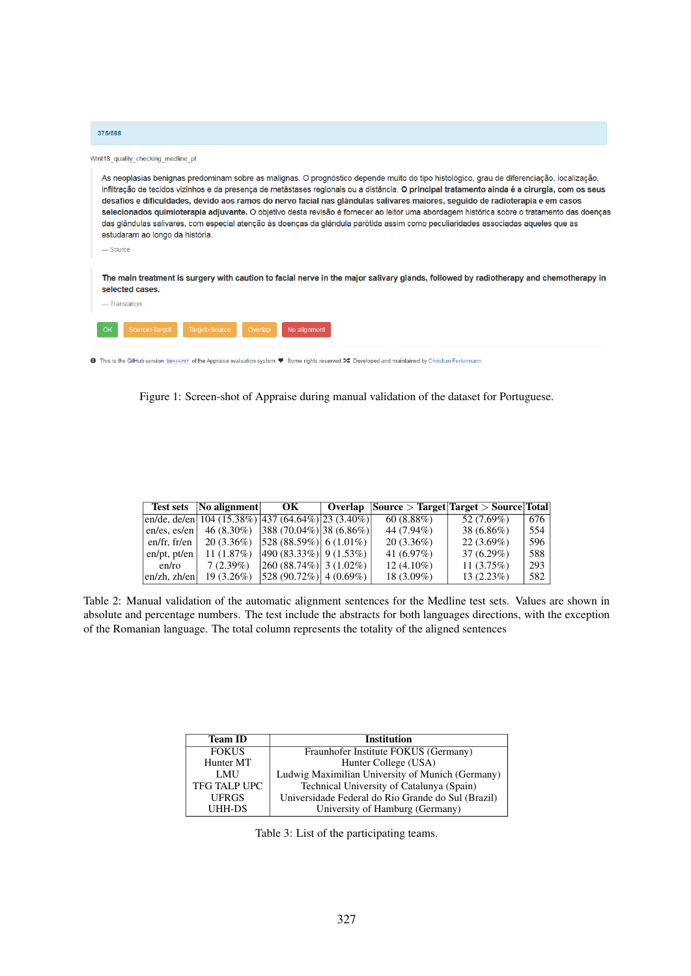| 375/588                                                                                                                                                                                                                                                                                                                                                                                                                                                                                                                                                                                                                                                                                                                                                        |
|----------------------------------------------------------------------------------------------------------------------------------------------------------------------------------------------------------------------------------------------------------------------------------------------------------------------------------------------------------------------------------------------------------------------------------------------------------------------------------------------------------------------------------------------------------------------------------------------------------------------------------------------------------------------------------------------------------------------------------------------------------------|
| Wmt18 quality checking medline pt                                                                                                                                                                                                                                                                                                                                                                                                                                                                                                                                                                                                                                                                                                                              |
| As neoplasias benignas predominam sobre as malignas. O prognóstico depende muito do tipo histológico, grau de diferenciação, localização,<br>infiltração de tecidos vizinhos e da presença de metástases regionais ou a distância. O principal tratamento ainda é a cirurgia, com os seus<br>desafios e dificuldades, devido aos ramos do nervo facial nas glândulas salivares maiores, seguido de radioterapia e em casos<br>selecionados quimioterapia adjuvante. O objetivo desta revisão é fornecer ao leitor uma abordagem histórica sobre o tratamento das doenças<br>das glândulas salivares, com especial atenção às doenças da glândula parótida assim como peculiaridades associadas aqueles que as<br>estudaram ao longo da história.<br>$-$ Source |
| The main treatment is surgery with caution to facial nerve in the major salivary glands, followed by radiotherapy and chemotherapy in<br>selected cases.<br>- Translation                                                                                                                                                                                                                                                                                                                                                                                                                                                                                                                                                                                      |
| Target>Source<br>OK<br>Source>Target<br>No alignment<br>Overlap                                                                                                                                                                                                                                                                                                                                                                                                                                                                                                                                                                                                                                                                                                |
| <b><sup>1</sup></b> This is the GitHub version be434797 of the Appraise evaluation system. ♥ Some rights reserved. > 2 Developed and maintained by Christian Federmann.                                                                                                                                                                                                                                                                                                                                                                                                                                                                                                                                                                                        |

Figure 1: Screen-shot of Appraise during manual validation of the dataset for Portuguese.

|                 | Test sets   No alignment                                                                               | OK                           | Overlap |              | $ Source > Target   Target > Source   Total  $ |     |
|-----------------|--------------------------------------------------------------------------------------------------------|------------------------------|---------|--------------|------------------------------------------------|-----|
|                 | en/de, de/en $\left  \frac{104}{(15.38\%)} \right $ (437 (64.64%) $\left  \frac{23}{(3.40\%)} \right $ |                              |         | 60(8.88%)    | 52 (7.69%)                                     | 676 |
| $en/es$ , es/en | $46(8.30\%)$                                                                                           | $ 388(70.04\%) 38(6.86\%) $  |         | 44 (7.94%)   | $38(6.86\%)$                                   | 554 |
| en/fr, fr/en    | $20(3.36\%)$                                                                                           | $ 528 (88.59\%)  6(1.01\%) $ |         | $20(3.36\%)$ | $22(3.69\%)$                                   | 596 |
| $en/pt$ , pt/en | 11 $(1.87%)$                                                                                           | $ 490 (83.33\%) 9(1.53\%)$   |         | 41 $(6.97%)$ | $37(6.29\%)$                                   | 588 |
| en/ro           | 7(2.39%)                                                                                               | $ 260 (88.74\%) 3 (1.02\%)$  |         | $12(4.10\%)$ | 11(3.75%)                                      | 293 |
| enzh, zh/en     | $19(3.26\%)$                                                                                           | $ 528 (90.72\%)  4 (0.69\%)$ |         | $18(3.09\%)$ | $13(2.23\%)$                                   | 582 |

Table 2: Manual validation of the automatic alignment sentences for the Medline test sets. Values are shown in absolute and percentage numbers. The test include the abstracts for both languages directions, with the exception of the Romanian language. The total column represents the totality of the aligned sentences

| <b>Team ID</b>      | <b>Institution</b>                                 |
|---------------------|----------------------------------------------------|
| <b>FOKUS</b>        | Fraunhofer Institute FOKUS (Germany)               |
| Hunter MT           | Hunter College (USA)                               |
| LMU                 | Ludwig Maximilian University of Munich (Germany)   |
| <b>TFG TALP UPC</b> | Technical University of Catalunya (Spain)          |
| <b>UFRGS</b>        | Universidade Federal do Rio Grande do Sul (Brazil) |
| UHH-DS              | University of Hamburg (Germany)                    |

Table 3: List of the participating teams.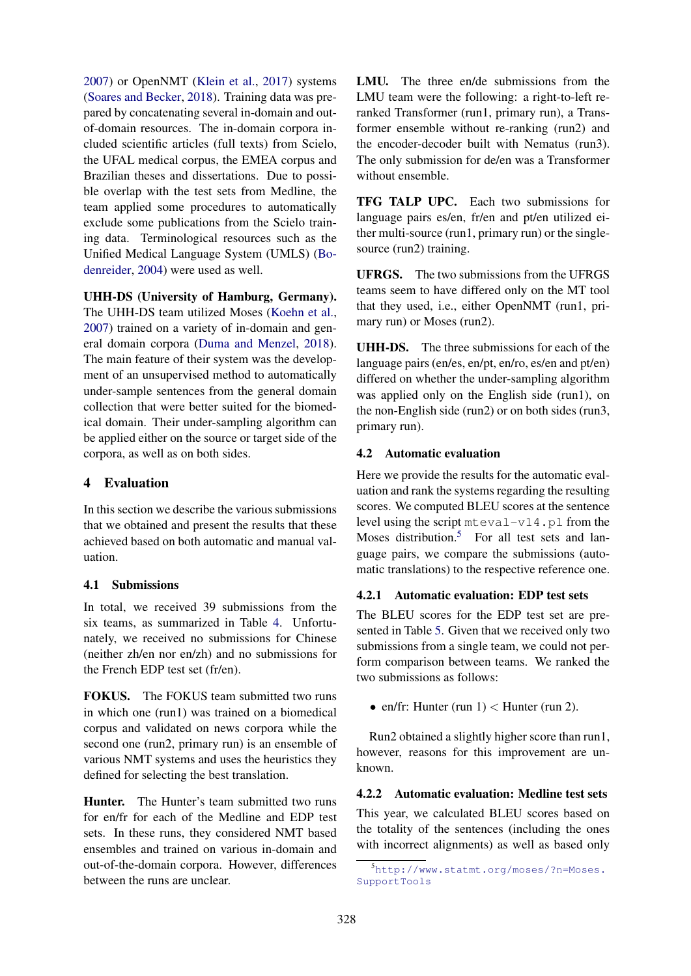2007) or OpenNMT (Klein et al., 2017) systems (Soares and Becker, 2018). Training data was prepared by concatenating several in-domain and outof-domain resources. The in-domain corpora included scientific articles (full texts) from Scielo, the UFAL medical corpus, the EMEA corpus and Brazilian theses and dissertations. Due to possible overlap with the test sets from Medline, the team applied some procedures to automatically exclude some publications from the Scielo training data. Terminological resources such as the Unified Medical Language System (UMLS) (Bodenreider, 2004) were used as well.

UHH-DS (University of Hamburg, Germany). The UHH-DS team utilized Moses (Koehn et al., 2007) trained on a variety of in-domain and general domain corpora (Duma and Menzel, 2018). The main feature of their system was the development of an unsupervised method to automatically under-sample sentences from the general domain collection that were better suited for the biomedical domain. Their under-sampling algorithm can be applied either on the source or target side of the corpora, as well as on both sides.

## 4 Evaluation

In this section we describe the various submissions that we obtained and present the results that these achieved based on both automatic and manual valuation.

## 4.1 Submissions

In total, we received 39 submissions from the six teams, as summarized in Table 4. Unfortunately, we received no submissions for Chinese (neither zh/en nor en/zh) and no submissions for the French EDP test set (fr/en).

FOKUS. The FOKUS team submitted two runs in which one (run1) was trained on a biomedical corpus and validated on news corpora while the second one (run2, primary run) is an ensemble of various NMT systems and uses the heuristics they defined for selecting the best translation.

Hunter. The Hunter's team submitted two runs for en/fr for each of the Medline and EDP test sets. In these runs, they considered NMT based ensembles and trained on various in-domain and out-of-the-domain corpora. However, differences between the runs are unclear.

LMU. The three en/de submissions from the LMU team were the following: a right-to-left reranked Transformer (run1, primary run), a Transformer ensemble without re-ranking (run2) and the encoder-decoder built with Nematus (run3). The only submission for de/en was a Transformer without ensemble.

TFG TALP UPC. Each two submissions for language pairs es/en, fr/en and pt/en utilized either multi-source (run1, primary run) or the singlesource (run2) training.

UFRGS. The two submissions from the UFRGS teams seem to have differed only on the MT tool that they used, i.e., either OpenNMT (run1, primary run) or Moses (run2).

UHH-DS. The three submissions for each of the language pairs (en/es, en/pt, en/ro, es/en and pt/en) differed on whether the under-sampling algorithm was applied only on the English side (run1), on the non-English side (run2) or on both sides (run3, primary run).

## 4.2 Automatic evaluation

Here we provide the results for the automatic evaluation and rank the systems regarding the resulting scores. We computed BLEU scores at the sentence level using the script mteval-v14.pl from the Moses distribution.<sup>5</sup> For all test sets and language pairs, we compare the submissions (automatic translations) to the respective reference one.

## 4.2.1 Automatic evaluation: EDP test sets

The BLEU scores for the EDP test set are presented in Table 5. Given that we received only two submissions from a single team, we could not perform comparison between teams. We ranked the two submissions as follows:

• en/fr: Hunter (run  $1$ )  $<$  Hunter (run 2).

Run2 obtained a slightly higher score than run1, however, reasons for this improvement are unknown.

4.2.2 Automatic evaluation: Medline test sets This year, we calculated BLEU scores based on the totality of the sentences (including the ones with incorrect alignments) as well as based only

<sup>5</sup>http://www.statmt.org/moses/?n=Moses. SupportTools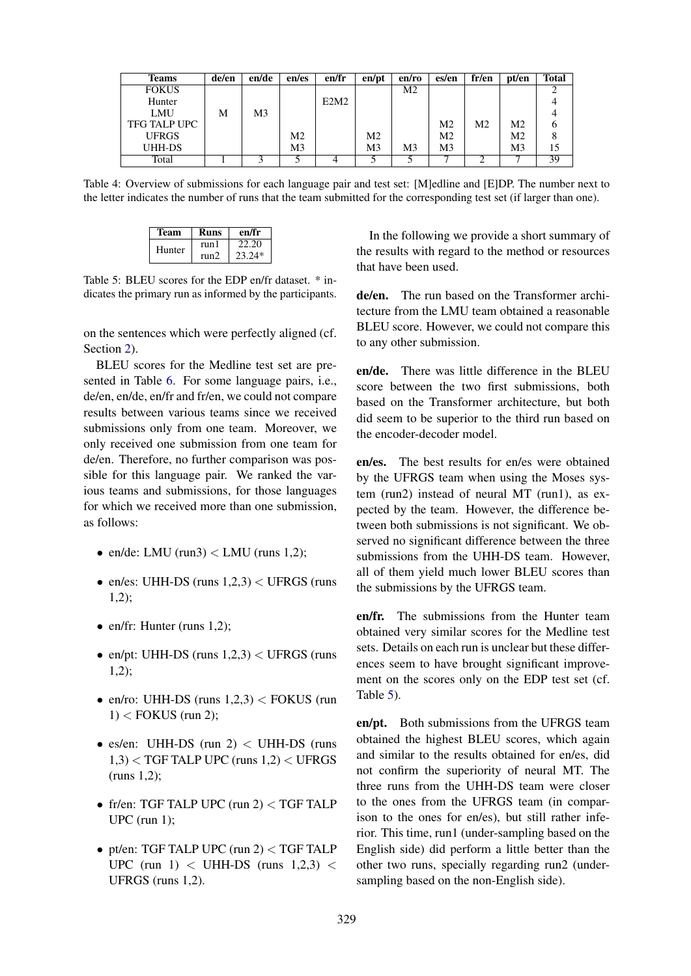| Teams        | de/en | en/de          | en/es          | en/fr | en/pt          | en/ro | es/en          | fr/en | pt/en | <b>Total</b> |
|--------------|-------|----------------|----------------|-------|----------------|-------|----------------|-------|-------|--------------|
| <b>FOKUS</b> |       |                |                |       |                | M2    |                |       |       |              |
| Hunter       |       |                |                | E2M2  |                |       |                |       |       |              |
| LMU          | M     | M <sub>3</sub> |                |       |                |       |                |       |       |              |
| TFG TALP UPC |       |                |                |       |                |       | M <sub>2</sub> | Μ2    | M2    |              |
| <b>UFRGS</b> |       |                | M <sub>2</sub> |       | M <sub>2</sub> |       | M2             |       | Μ2    |              |
| UHH-DS       |       |                | M <sub>3</sub> |       | M3             | M3    | M3             |       | M3    | 15           |
| Total        |       |                |                |       |                |       |                |       |       | 39           |

Table 4: Overview of submissions for each language pair and test set: [M]edline and [E]DP. The number next to the letter indicates the number of runs that the team submitted for the corresponding test set (if larger than one).

| Team   | Runs  | en/fr    |
|--------|-------|----------|
| Hunter | run l | 22.20    |
|        | run2  | $23.24*$ |

Table 5: BLEU scores for the EDP en/fr dataset. \* indicates the primary run as informed by the participants.

on the sentences which were perfectly aligned (cf. Section 2).

BLEU scores for the Medline test set are presented in Table 6. For some language pairs, i.e., de/en, en/de, en/fr and fr/en, we could not compare results between various teams since we received submissions only from one team. Moreover, we only received one submission from one team for de/en. Therefore, no further comparison was possible for this language pair. We ranked the various teams and submissions, for those languages for which we received more than one submission, as follows:

- en/de: LMU (run3)  $\lt$  LMU (runs 1,2);
- en/es: UHH-DS (runs  $1,2,3$ )  $<$  UFRGS (runs 1,2);
- en/fr: Hunter (runs  $1,2$ );
- en/pt: UHH-DS (runs  $1,2,3$ )  $<$  UFRGS (runs 1,2);
- en/ro: UHH-DS (runs  $1,2,3$ ) < FOKUS (run  $1$  < FOKUS (run 2);
- es/en: UHH-DS (run  $2$ )  $<$  UHH-DS (runs  $1,3$ ) < TGF TALP UPC (runs  $1,2$ ) < UFRGS (runs 1,2);
- fr/en: TGF TALP UPC (run 2) < TGF TALP UPC (run 1);
- pt/en: TGF TALP UPC (run 2) < TGF TALP UPC (run 1)  $\lt$  UHH-DS (runs 1,2,3)  $\lt$ UFRGS (runs 1,2).

In the following we provide a short summary of the results with regard to the method or resources that have been used.

de/en. The run based on the Transformer architecture from the LMU team obtained a reasonable BLEU score. However, we could not compare this to any other submission.

en/de. There was little difference in the BLEU score between the two first submissions, both based on the Transformer architecture, but both did seem to be superior to the third run based on the encoder-decoder model.

en/es. The best results for en/es were obtained by the UFRGS team when using the Moses system (run2) instead of neural MT (run1), as expected by the team. However, the difference between both submissions is not significant. We observed no significant difference between the three submissions from the UHH-DS team. However, all of them yield much lower BLEU scores than the submissions by the UFRGS team.

en/fr. The submissions from the Hunter team obtained very similar scores for the Medline test sets. Details on each run is unclear but these differences seem to have brought significant improvement on the scores only on the EDP test set (cf. Table 5).

en/pt. Both submissions from the UFRGS team obtained the highest BLEU scores, which again and similar to the results obtained for en/es, did not confirm the superiority of neural MT. The three runs from the UHH-DS team were closer to the ones from the UFRGS team (in comparison to the ones for en/es), but still rather inferior. This time, run1 (under-sampling based on the English side) did perform a little better than the other two runs, specially regarding run2 (undersampling based on the non-English side).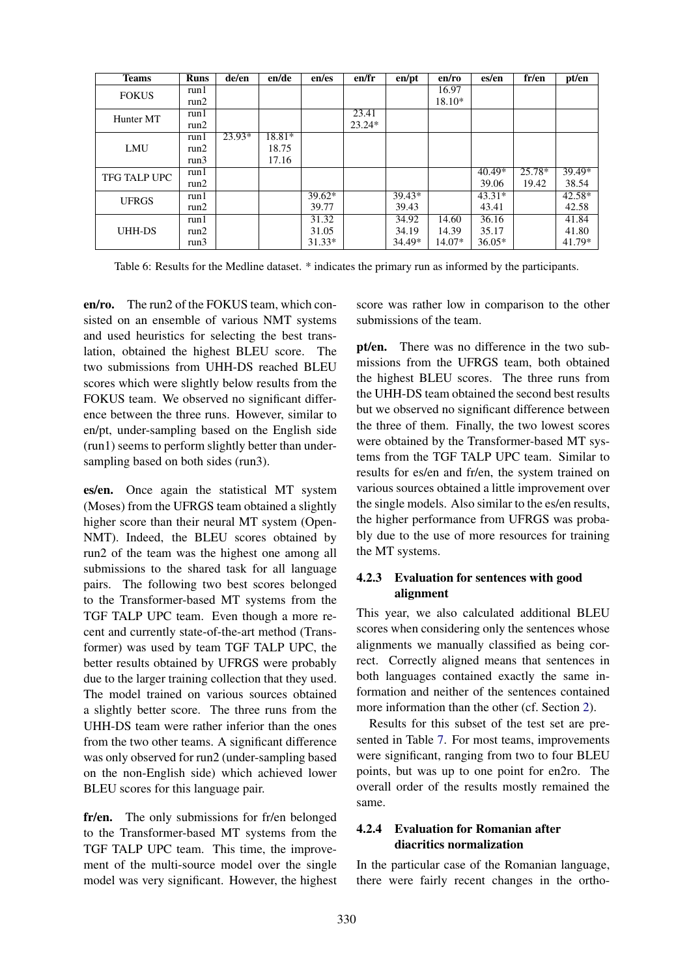| <b>Teams</b>  | <b>Runs</b> | de/en    | en/de    | en/es    | en/fr    | en/pt    | en/ro    | es/en    | fr/en    | pt/en    |
|---------------|-------------|----------|----------|----------|----------|----------|----------|----------|----------|----------|
| <b>FOKUS</b>  | run1        |          |          |          |          |          | 16.97    |          |          |          |
|               | run2        |          |          |          |          |          | $18.10*$ |          |          |          |
| Hunter MT     | run1        |          |          |          | 23.41    |          |          |          |          |          |
|               | run2        |          |          |          | $23.24*$ |          |          |          |          |          |
|               | run1        | $23.93*$ | $18.81*$ |          |          |          |          |          |          |          |
| <b>LMU</b>    | run2        |          | 18.75    |          |          |          |          |          |          |          |
|               | run3        |          | 17.16    |          |          |          |          |          |          |          |
| TFG TALP UPC  | run 1       |          |          |          |          |          |          | $40.49*$ | $25.78*$ | 39.49*   |
|               | run2        |          |          |          |          |          |          | 39.06    | 19.42    | 38.54    |
| <b>UFRGS</b>  | run1        |          |          | $39.62*$ |          | $39.43*$ |          | $43.31*$ |          | $42.58*$ |
|               | run2        |          |          | 39.77    |          | 39.43    |          | 43.41    |          | 42.58    |
|               | run 1       |          |          | 31.32    |          | 34.92    | 14.60    | 36.16    |          | 41.84    |
| <b>UHH-DS</b> | run2        |          |          | 31.05    |          | 34.19    | 14.39    | 35.17    |          | 41.80    |
|               | run3        |          |          | $31.33*$ |          | 34.49*   | 14.07*   | $36.05*$ |          | 41.79*   |

Table 6: Results for the Medline dataset. \* indicates the primary run as informed by the participants.

en/ro. The run2 of the FOKUS team, which consisted on an ensemble of various NMT systems and used heuristics for selecting the best translation, obtained the highest BLEU score. The two submissions from UHH-DS reached BLEU scores which were slightly below results from the FOKUS team. We observed no significant difference between the three runs. However, similar to en/pt, under-sampling based on the English side (run1) seems to perform slightly better than undersampling based on both sides (run3).

es/en. Once again the statistical MT system (Moses) from the UFRGS team obtained a slightly higher score than their neural MT system (Open-NMT). Indeed, the BLEU scores obtained by run2 of the team was the highest one among all submissions to the shared task for all language pairs. The following two best scores belonged to the Transformer-based MT systems from the TGF TALP UPC team. Even though a more recent and currently state-of-the-art method (Transformer) was used by team TGF TALP UPC, the better results obtained by UFRGS were probably due to the larger training collection that they used. The model trained on various sources obtained a slightly better score. The three runs from the UHH-DS team were rather inferior than the ones from the two other teams. A significant difference was only observed for run2 (under-sampling based on the non-English side) which achieved lower BLEU scores for this language pair.

fr/en. The only submissions for fr/en belonged to the Transformer-based MT systems from the TGF TALP UPC team. This time, the improvement of the multi-source model over the single model was very significant. However, the highest

score was rather low in comparison to the other submissions of the team.

pt/en. There was no difference in the two submissions from the UFRGS team, both obtained the highest BLEU scores. The three runs from the UHH-DS team obtained the second best results but we observed no significant difference between the three of them. Finally, the two lowest scores were obtained by the Transformer-based MT systems from the TGF TALP UPC team. Similar to results for es/en and fr/en, the system trained on various sources obtained a little improvement over the single models. Also similar to the es/en results, the higher performance from UFRGS was probably due to the use of more resources for training the MT systems.

## 4.2.3 Evaluation for sentences with good alignment

This year, we also calculated additional BLEU scores when considering only the sentences whose alignments we manually classified as being correct. Correctly aligned means that sentences in both languages contained exactly the same information and neither of the sentences contained more information than the other (cf. Section 2).

Results for this subset of the test set are presented in Table 7. For most teams, improvements were significant, ranging from two to four BLEU points, but was up to one point for en2ro. The overall order of the results mostly remained the same.

## 4.2.4 Evaluation for Romanian after diacritics normalization

In the particular case of the Romanian language, there were fairly recent changes in the ortho-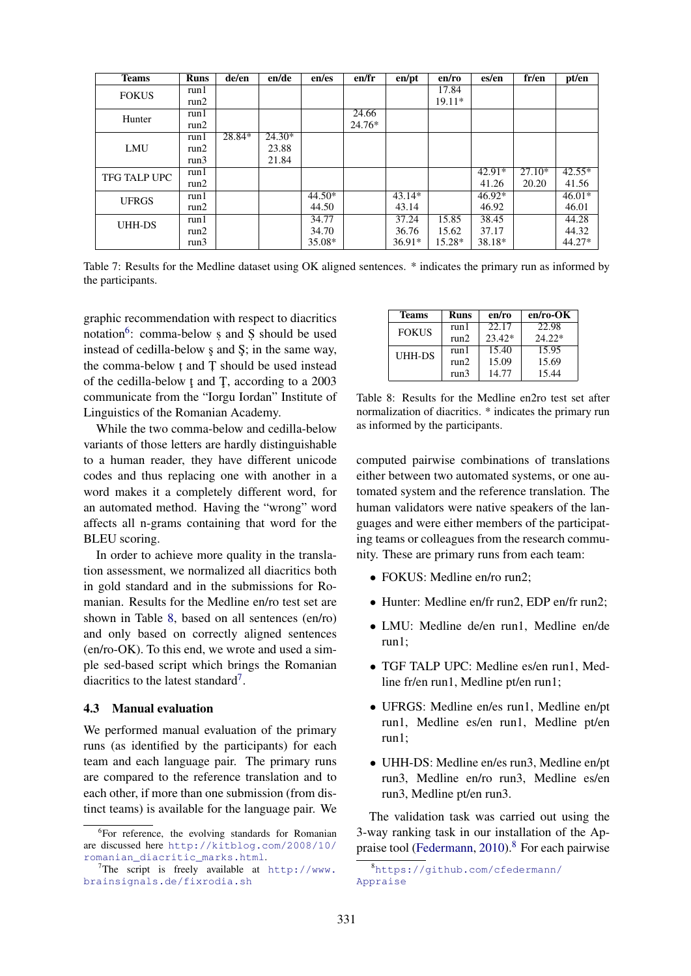| <b>Teams</b>        | <b>Runs</b> | de/en  | en/de    | en/es    | en/fr  | en/pt    | en/ro  | es/en    | fr/en    | pt/en    |
|---------------------|-------------|--------|----------|----------|--------|----------|--------|----------|----------|----------|
| <b>FOKUS</b>        | run1        |        |          |          |        |          | 17.84  |          |          |          |
|                     | run2        |        |          |          |        |          | 19.11* |          |          |          |
| Hunter              | run1        |        |          |          | 24.66  |          |        |          |          |          |
|                     | run2        |        |          |          | 24.76* |          |        |          |          |          |
|                     | run1        | 28.84* | $24.30*$ |          |        |          |        |          |          |          |
| <b>LMU</b>          | run2        |        | 23.88    |          |        |          |        |          |          |          |
|                     | run3        |        | 21.84    |          |        |          |        |          |          |          |
| <b>TFG TALP UPC</b> | run1        |        |          |          |        |          |        | $42.91*$ | $27.10*$ | $42.55*$ |
|                     | run2        |        |          |          |        |          |        | 41.26    | 20.20    | 41.56    |
| <b>UFRGS</b>        | run1        |        |          | $44.50*$ |        | $43.14*$ |        | $46.92*$ |          | $46.01*$ |
|                     | run2        |        |          | 44.50    |        | 43.14    |        | 46.92    |          | 46.01    |
| <b>UHH-DS</b>       | run1        |        |          | 34.77    |        | 37.24    | 15.85  | 38.45    |          | 44.28    |
|                     | run2        |        |          | 34.70    |        | 36.76    | 15.62  | 37.17    |          | 44.32    |
|                     | run3        |        |          | 35.08*   |        | $36.91*$ | 15.28* | 38.18*   |          | 44.27*   |

Table 7: Results for the Medline dataset using OK aligned sentences. \* indicates the primary run as informed by the participants.

graphic recommendation with respect to diacritics notation<sup>6</sup>: comma-below *s* and *S* should be used instead of cedilla-below s and S; in the same way, the comma-below t and T should be used instead of the cedilla-below t and  $T$ , according to a 2003 communicate from the "Iorgu Iordan" Institute of Linguistics of the Romanian Academy.

While the two comma-below and cedilla-below variants of those letters are hardly distinguishable to a human reader, they have different unicode codes and thus replacing one with another in a word makes it a completely different word, for an automated method. Having the "wrong" word affects all n-grams containing that word for the BLEU scoring.

In order to achieve more quality in the translation assessment, we normalized all diacritics both in gold standard and in the submissions for Romanian. Results for the Medline en/ro test set are shown in Table 8, based on all sentences (en/ro) and only based on correctly aligned sentences (en/ro-OK). To this end, we wrote and used a simple sed-based script which brings the Romanian diacritics to the latest standard<sup>7</sup>.

#### 4.3 Manual evaluation

We performed manual evaluation of the primary runs (as identified by the participants) for each team and each language pair. The primary runs are compared to the reference translation and to each other, if more than one submission (from distinct teams) is available for the language pair. We

| <b>Teams</b> | Runs | en/ro    | $en/ro-OK$ |
|--------------|------|----------|------------|
| <b>FOKUS</b> | run1 | 22.17    | 22.98      |
|              | run2 | $23.42*$ | $24.22*$   |
| UHH-DS       | run1 | 15.40    | 15.95      |
|              | run2 | 15.09    | 15.69      |
|              | run3 | 14.77    | 15.44      |

Table 8: Results for the Medline en2ro test set after normalization of diacritics. \* indicates the primary run as informed by the participants.

computed pairwise combinations of translations either between two automated systems, or one automated system and the reference translation. The human validators were native speakers of the languages and were either members of the participating teams or colleagues from the research community. These are primary runs from each team:

- FOKUS: Medline en/ro run2;
- Hunter: Medline en/fr run2, EDP en/fr run2;
- LMU: Medline de/en run1, Medline en/de run1;
- TGF TALP UPC: Medline es/en run1, Medline fr/en run1, Medline pt/en run1;
- UFRGS: Medline en/es run1, Medline en/pt run1, Medline es/en run1, Medline pt/en run1;
- UHH-DS: Medline en/es run3, Medline en/pt run3, Medline en/ro run3, Medline es/en run3, Medline pt/en run3.

The validation task was carried out using the 3-way ranking task in our installation of the Appraise tool (Federmann,  $2010$ ).<sup>8</sup> For each pairwise

<sup>&</sup>lt;sup>6</sup>For reference, the evolving standards for Romanian are discussed here http://kitblog.com/2008/10/ romanian\_diacritic\_marks.html.

<sup>&</sup>lt;sup>7</sup>The script is freely available at  $http://www.$ brainsignals.de/fixrodia.sh

<sup>8</sup>https://github.com/cfedermann/ Appraise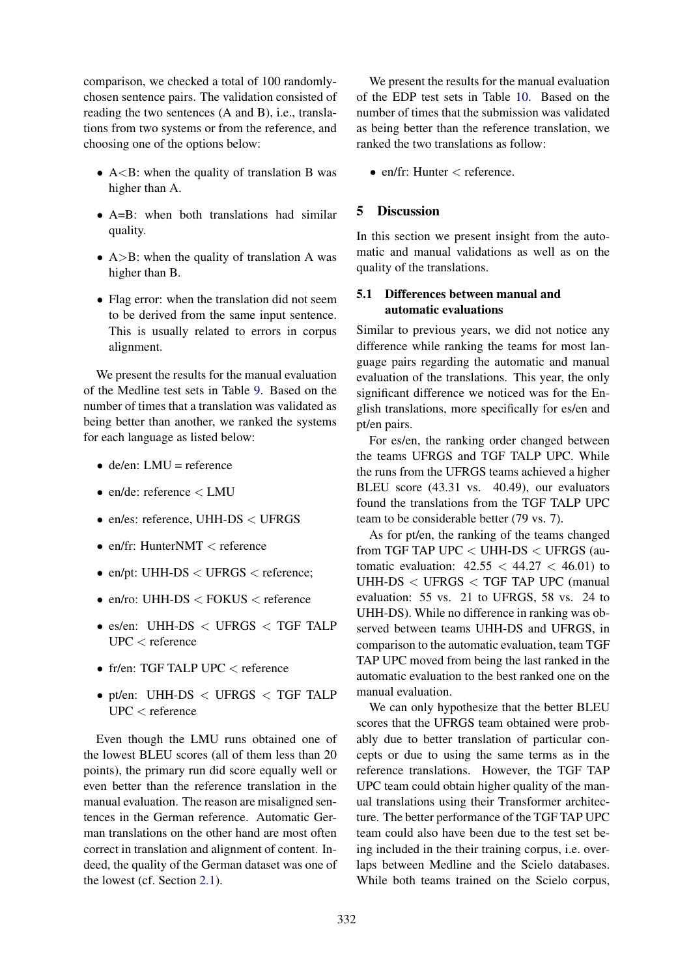comparison, we checked a total of 100 randomlychosen sentence pairs. The validation consisted of reading the two sentences (A and B), i.e., translations from two systems or from the reference, and choosing one of the options below:

- $A < B$ : when the quality of translation B was higher than A.
- A=B: when both translations had similar quality.
- $A > B$ : when the quality of translation A was higher than B.
- Flag error: when the translation did not seem to be derived from the same input sentence. This is usually related to errors in corpus alignment.

We present the results for the manual evaluation of the Medline test sets in Table 9. Based on the number of times that a translation was validated as being better than another, we ranked the systems for each language as listed below:

- $\bullet$  de/en: LMU = reference
- $\bullet$  en/de: reference  $\lt$  LMU
- en/es: reference, UHH-DS < UFRGS
- en/fr: HunterNMT  $\lt$  reference
- en/pt: UHH-DS < UFRGS < reference;
- en/ro: UHH- $DS <$  FOKUS  $<$  reference
- es/en: UHH-DS < UFRGS < TGF TALP UPC < reference
- fr/en: TGF TALP UPC < reference
- pt/en: UHH-DS < UFRGS < TGF TALP UPC < reference

Even though the LMU runs obtained one of the lowest BLEU scores (all of them less than 20 points), the primary run did score equally well or even better than the reference translation in the manual evaluation. The reason are misaligned sentences in the German reference. Automatic German translations on the other hand are most often correct in translation and alignment of content. Indeed, the quality of the German dataset was one of the lowest (cf. Section 2.1).

We present the results for the manual evaluation of the EDP test sets in Table 10. Based on the number of times that the submission was validated as being better than the reference translation, we ranked the two translations as follow:

• en/fr: Hunter  $\lt$  reference.

## 5 Discussion

In this section we present insight from the automatic and manual validations as well as on the quality of the translations.

## 5.1 Differences between manual and automatic evaluations

Similar to previous years, we did not notice any difference while ranking the teams for most language pairs regarding the automatic and manual evaluation of the translations. This year, the only significant difference we noticed was for the English translations, more specifically for es/en and pt/en pairs.

For es/en, the ranking order changed between the teams UFRGS and TGF TALP UPC. While the runs from the UFRGS teams achieved a higher BLEU score (43.31 vs. 40.49), our evaluators found the translations from the TGF TALP UPC team to be considerable better (79 vs. 7).

As for pt/en, the ranking of the teams changed from TGF TAP UPC < UHH-DS < UFRGS (automatic evaluation:  $42.55 < 44.27 < 46.01$ ) to UHH-DS < UFRGS < TGF TAP UPC (manual evaluation: 55 vs. 21 to UFRGS, 58 vs. 24 to UHH-DS). While no difference in ranking was observed between teams UHH-DS and UFRGS, in comparison to the automatic evaluation, team TGF TAP UPC moved from being the last ranked in the automatic evaluation to the best ranked one on the manual evaluation.

We can only hypothesize that the better BLEU scores that the UFRGS team obtained were probably due to better translation of particular concepts or due to using the same terms as in the reference translations. However, the TGF TAP UPC team could obtain higher quality of the manual translations using their Transformer architecture. The better performance of the TGF TAP UPC team could also have been due to the test set being included in the their training corpus, i.e. overlaps between Medline and the Scielo databases. While both teams trained on the Scielo corpus,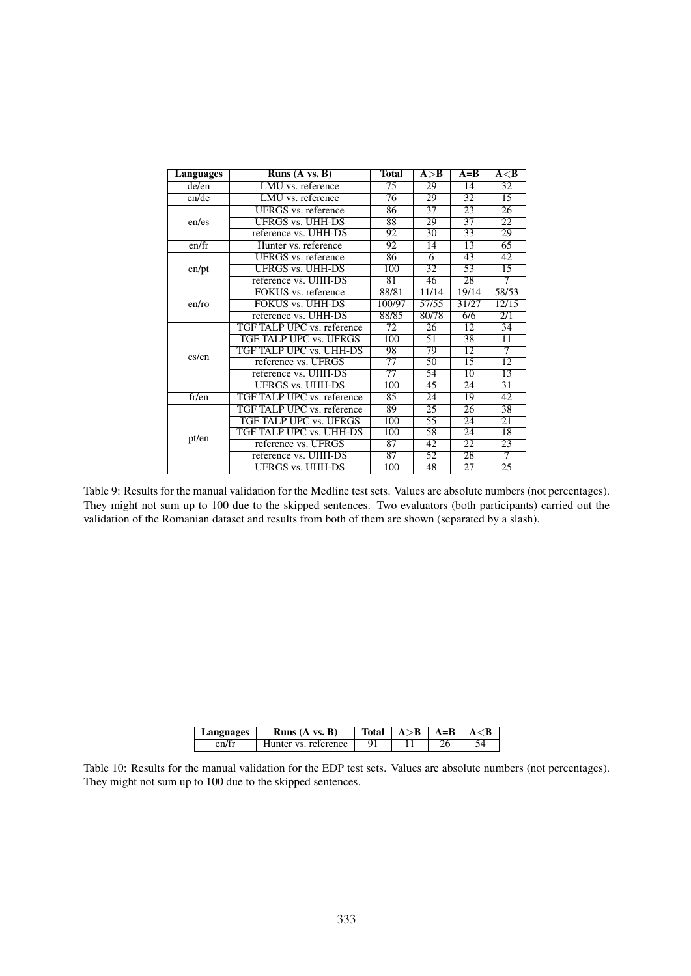| <b>Languages</b> | Runs $(A \text{ vs. } B)$  | <b>Total</b>    | A > B           | $A=B$           | A < B                       |
|------------------|----------------------------|-----------------|-----------------|-----------------|-----------------------------|
| de/en            | LMU vs. reference          | 75              | 29              | $\overline{14}$ | $\overline{32}$             |
| en/de            | LMU vs. reference          | 76              | 29              | $\overline{32}$ | 15                          |
|                  | UFRGS vs. reference        | 86              | 37              | 23              | 26                          |
| en/es            | <b>UFRGS vs. UHH-DS</b>    | 88              | 29              | 37              | $\overline{22}$             |
|                  | reference vs. UHH-DS       | 92              | $\overline{30}$ | $\overline{33}$ | 29                          |
| en/fr            | Hunter vs. reference       | 92              | 14              | 13              | $\overline{65}$             |
|                  | <b>UFRGS</b> vs. reference | 86              | 6               | 43              | 42                          |
| en/pt            | <b>UFRGS vs. UHH-DS</b>    | 100             | 32              | 53              | 15                          |
|                  | reference vs. UHH-DS       | $\overline{81}$ | 46              | $\overline{28}$ | 7                           |
|                  | FOKUS vs. reference        | 88/81           | 11/14           | 19/14           | 58/53                       |
| en/ro            | <b>FOKUS vs. UHH-DS</b>    | 100/97          | 57/55           | 31/27           | 12/15                       |
|                  | reference vs. UHH-DS       | 88/85           | 80/78           | 6/6             | $\overline{2}/\overline{1}$ |
|                  | TGF TALP UPC vs. reference | 72              | 26              | 12              | 34                          |
|                  | TGF TALP UPC vs. UFRGS     | 100             | 51              | $\overline{38}$ | $\overline{11}$             |
| es/en            | TGF TALP UPC vs. UHH-DS    | 98              | 79              | $\overline{12}$ | 7                           |
|                  | reference vs. UFRGS        | 77              | 50              | 15              | 12                          |
|                  | reference vs. UHH-DS       | $\overline{77}$ | 54              | $\overline{10}$ | 13                          |
|                  | <b>UFRGS vs. UHH-DS</b>    | 100             | 45              | 24              | 31                          |
| fr/en            | TGF TALP UPC vs. reference | $\overline{85}$ | 24              | 19              | 42                          |
|                  | TGF TALP UPC vs. reference | 89              | 25              | 26              | 38                          |
|                  | TGF TALP UPC vs. UFRGS     | 100             | 55              | 24              | 21                          |
| pt/en            | TGF TALP UPC vs. UHH-DS    | 100             | $\overline{58}$ | $\overline{24}$ | $\overline{18}$             |
|                  | reference vs. UFRGS        | $\overline{87}$ | 42              | 22              | 23                          |
|                  | reference vs. UHH-DS       | $\overline{87}$ | 52              | $\overline{28}$ | 7                           |
|                  | <b>UFRGS vs. UHH-DS</b>    | 100             | 48              | $\overline{27}$ | $\overline{25}$             |

Table 9: Results for the manual validation for the Medline test sets. Values are absolute numbers (not percentages). They might not sum up to 100 due to the skipped sentences. Two evaluators (both participants) carried out the validation of the Romanian dataset and results from both of them are shown (separated by a slash).

| Languages | Runs $(A \text{ vs. } B)$ | Total | $A > B$ | $A = B$ |  |
|-----------|---------------------------|-------|---------|---------|--|
| en/fr     | Hunter vs. reference      |       |         |         |  |

Table 10: Results for the manual validation for the EDP test sets. Values are absolute numbers (not percentages). They might not sum up to 100 due to the skipped sentences.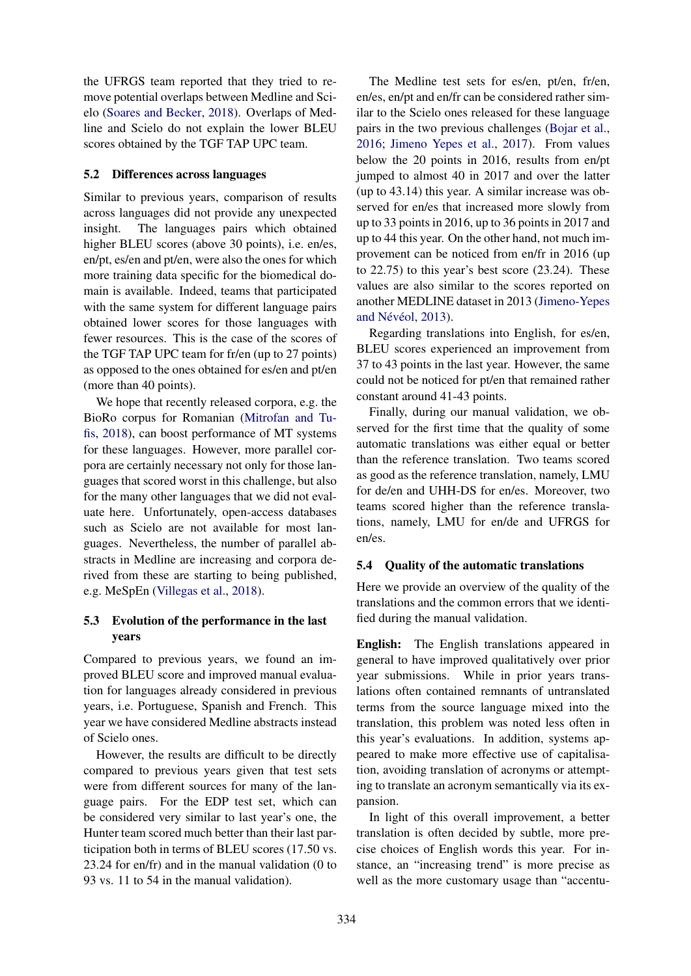the UFRGS team reported that they tried to remove potential overlaps between Medline and Scielo (Soares and Becker, 2018). Overlaps of Medline and Scielo do not explain the lower BLEU scores obtained by the TGF TAP UPC team.

#### 5.2 Differences across languages

Similar to previous years, comparison of results across languages did not provide any unexpected insight. The languages pairs which obtained higher BLEU scores (above 30 points), i.e. en/es, en/pt, es/en and pt/en, were also the ones for which more training data specific for the biomedical domain is available. Indeed, teams that participated with the same system for different language pairs obtained lower scores for those languages with fewer resources. This is the case of the scores of the TGF TAP UPC team for fr/en (up to 27 points) as opposed to the ones obtained for es/en and pt/en (more than 40 points).

We hope that recently released corpora, e.g. the BioRo corpus for Romanian (Mitrofan and Tufis, 2018), can boost performance of MT systems for these languages. However, more parallel corpora are certainly necessary not only for those languages that scored worst in this challenge, but also for the many other languages that we did not evaluate here. Unfortunately, open-access databases such as Scielo are not available for most languages. Nevertheless, the number of parallel abstracts in Medline are increasing and corpora derived from these are starting to being published, e.g. MeSpEn (Villegas et al., 2018).

## 5.3 Evolution of the performance in the last years

Compared to previous years, we found an improved BLEU score and improved manual evaluation for languages already considered in previous years, i.e. Portuguese, Spanish and French. This year we have considered Medline abstracts instead of Scielo ones.

However, the results are difficult to be directly compared to previous years given that test sets were from different sources for many of the language pairs. For the EDP test set, which can be considered very similar to last year's one, the Hunter team scored much better than their last participation both in terms of BLEU scores (17.50 vs. 23.24 for en/fr) and in the manual validation (0 to 93 vs. 11 to 54 in the manual validation).

The Medline test sets for es/en, pt/en, fr/en, en/es, en/pt and en/fr can be considered rather similar to the Scielo ones released for these language pairs in the two previous challenges (Bojar et al., 2016; Jimeno Yepes et al., 2017). From values below the 20 points in 2016, results from en/pt jumped to almost 40 in 2017 and over the latter (up to 43.14) this year. A similar increase was observed for en/es that increased more slowly from up to 33 points in 2016, up to 36 points in 2017 and up to 44 this year. On the other hand, not much improvement can be noticed from en/fr in 2016 (up to 22.75) to this year's best score (23.24). These values are also similar to the scores reported on another MEDLINE dataset in 2013 (Jimeno-Yepes and Névéol, 2013).

Regarding translations into English, for es/en, BLEU scores experienced an improvement from 37 to 43 points in the last year. However, the same could not be noticed for pt/en that remained rather constant around 41-43 points.

Finally, during our manual validation, we observed for the first time that the quality of some automatic translations was either equal or better than the reference translation. Two teams scored as good as the reference translation, namely, LMU for de/en and UHH-DS for en/es. Moreover, two teams scored higher than the reference translations, namely, LMU for en/de and UFRGS for en/es.

## 5.4 Quality of the automatic translations

Here we provide an overview of the quality of the translations and the common errors that we identified during the manual validation.

English: The English translations appeared in general to have improved qualitatively over prior year submissions. While in prior years translations often contained remnants of untranslated terms from the source language mixed into the translation, this problem was noted less often in this year's evaluations. In addition, systems appeared to make more effective use of capitalisation, avoiding translation of acronyms or attempting to translate an acronym semantically via its expansion.

In light of this overall improvement, a better translation is often decided by subtle, more precise choices of English words this year. For instance, an "increasing trend" is more precise as well as the more customary usage than "accentu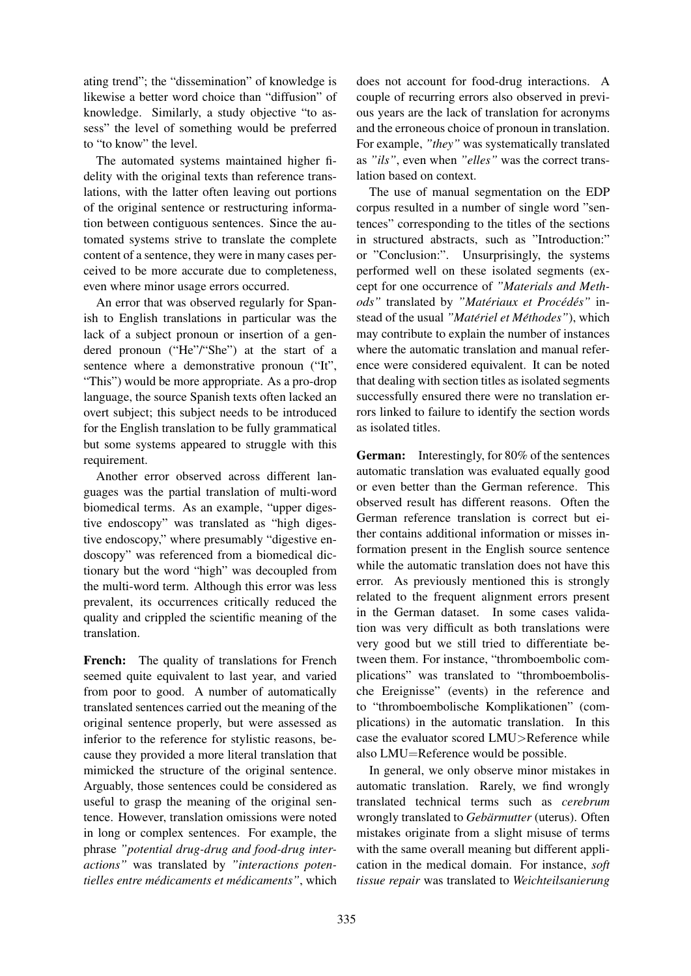ating trend"; the "dissemination" of knowledge is likewise a better word choice than "diffusion" of knowledge. Similarly, a study objective "to assess" the level of something would be preferred to "to know" the level.

The automated systems maintained higher fidelity with the original texts than reference translations, with the latter often leaving out portions of the original sentence or restructuring information between contiguous sentences. Since the automated systems strive to translate the complete content of a sentence, they were in many cases perceived to be more accurate due to completeness, even where minor usage errors occurred.

An error that was observed regularly for Spanish to English translations in particular was the lack of a subject pronoun or insertion of a gendered pronoun ("He"/"She") at the start of a sentence where a demonstrative pronoun ("It", "This") would be more appropriate. As a pro-drop language, the source Spanish texts often lacked an overt subject; this subject needs to be introduced for the English translation to be fully grammatical but some systems appeared to struggle with this requirement.

Another error observed across different languages was the partial translation of multi-word biomedical terms. As an example, "upper digestive endoscopy" was translated as "high digestive endoscopy," where presumably "digestive endoscopy" was referenced from a biomedical dictionary but the word "high" was decoupled from the multi-word term. Although this error was less prevalent, its occurrences critically reduced the quality and crippled the scientific meaning of the translation.

French: The quality of translations for French seemed quite equivalent to last year, and varied from poor to good. A number of automatically translated sentences carried out the meaning of the original sentence properly, but were assessed as inferior to the reference for stylistic reasons, because they provided a more literal translation that mimicked the structure of the original sentence. Arguably, those sentences could be considered as useful to grasp the meaning of the original sentence. However, translation omissions were noted in long or complex sentences. For example, the phrase *"potential drug-drug and food-drug interactions"* was translated by *"interactions potentielles entre médicaments et médicaments"*, which

does not account for food-drug interactions. A couple of recurring errors also observed in previous years are the lack of translation for acronyms and the erroneous choice of pronoun in translation. For example, *"they"* was systematically translated as *"ils"*, even when *"elles"* was the correct translation based on context.

The use of manual segmentation on the EDP corpus resulted in a number of single word "sentences" corresponding to the titles of the sections in structured abstracts, such as "Introduction:" or "Conclusion:". Unsurprisingly, the systems performed well on these isolated segments (except for one occurrence of *"Materials and Meth* $ods$ " translated by "Matériaux et Procédés" instead of the usual "Matériel et Méthodes"), which may contribute to explain the number of instances where the automatic translation and manual reference were considered equivalent. It can be noted that dealing with section titles as isolated segments successfully ensured there were no translation errors linked to failure to identify the section words as isolated titles.

German: Interestingly, for 80% of the sentences automatic translation was evaluated equally good or even better than the German reference. This observed result has different reasons. Often the German reference translation is correct but either contains additional information or misses information present in the English source sentence while the automatic translation does not have this error. As previously mentioned this is strongly related to the frequent alignment errors present in the German dataset. In some cases validation was very difficult as both translations were very good but we still tried to differentiate between them. For instance, "thromboembolic complications" was translated to "thromboembolische Ereignisse" (events) in the reference and to "thromboembolische Komplikationen" (complications) in the automatic translation. In this case the evaluator scored LMU>Reference while also LMU=Reference would be possible.

In general, we only observe minor mistakes in automatic translation. Rarely, we find wrongly translated technical terms such as *cerebrum* wrongly translated to *Gebärmutter* (uterus). Often mistakes originate from a slight misuse of terms with the same overall meaning but different application in the medical domain. For instance, *soft tissue repair* was translated to *Weichteilsanierung*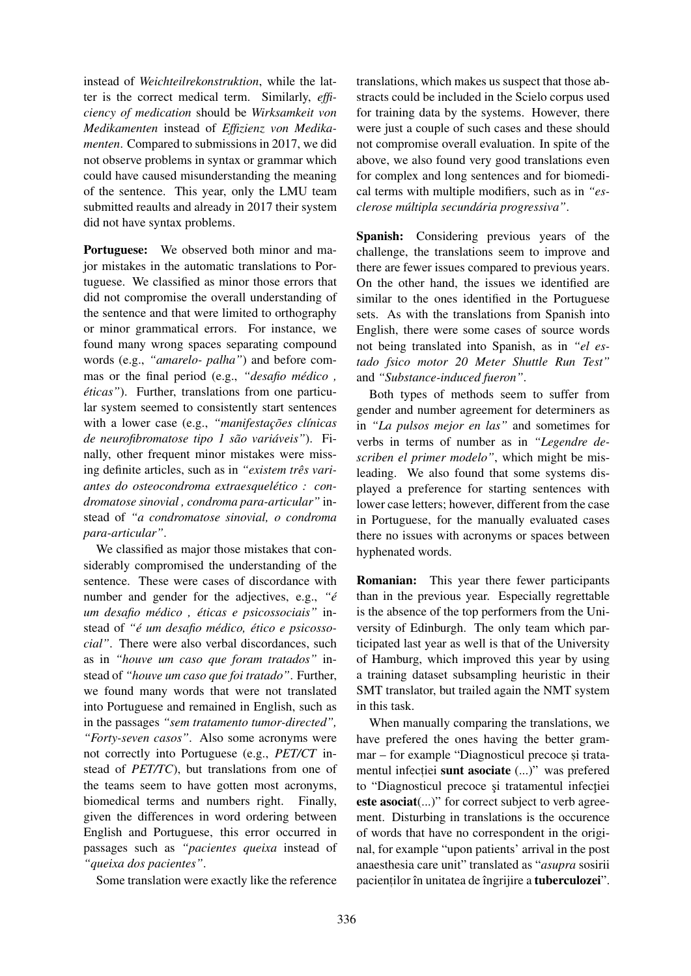instead of *Weichteilrekonstruktion*, while the latter is the correct medical term. Similarly, *efficiency of medication* should be *Wirksamkeit von Medikamenten* instead of *Effizienz von Medikamenten*. Compared to submissions in 2017, we did not observe problems in syntax or grammar which could have caused misunderstanding the meaning of the sentence. This year, only the LMU team submitted reaults and already in 2017 their system did not have syntax problems.

Portuguese: We observed both minor and major mistakes in the automatic translations to Portuguese. We classified as minor those errors that did not compromise the overall understanding of the sentence and that were limited to orthography or minor grammatical errors. For instance, we found many wrong spaces separating compound words (e.g., *"amarelo- palha"*) and before commas or the final period (e.g., *"desafio medico , ´ éticas"*). Further, translations from one particular system seemed to consistently start sentences with a lower case (e.g., "manifestações clínicas *de neurofibromatose tipo 1 são variáveis*"). Finally, other frequent minor mistakes were missing definite articles, such as in *"existem três variantes do osteocondroma extraesqueletico : con- ´ dromatose sinovial , condroma para-articular"* instead of *"a condromatose sinovial, o condroma para-articular"*.

We classified as major those mistakes that considerably compromised the understanding of the sentence. These were cases of discordance with number and gender for the adjectives, e.g.,  $\degree$ *é um desafio medico , ´ eticas e psicossociais" ´* instead of "é um desafio médico, ético e psicosso*cial"*. There were also verbal discordances, such as in *"houve um caso que foram tratados"* instead of *"houve um caso que foi tratado"*. Further, we found many words that were not translated into Portuguese and remained in English, such as in the passages *"sem tratamento tumor-directed", "Forty-seven casos"*. Also some acronyms were not correctly into Portuguese (e.g., *PET/CT* instead of *PET/TC*), but translations from one of the teams seem to have gotten most acronyms, biomedical terms and numbers right. Finally, given the differences in word ordering between English and Portuguese, this error occurred in passages such as *"pacientes queixa* instead of *"queixa dos pacientes"*.

Some translation were exactly like the reference

translations, which makes us suspect that those abstracts could be included in the Scielo corpus used for training data by the systems. However, there were just a couple of such cases and these should not compromise overall evaluation. In spite of the above, we also found very good translations even for complex and long sentences and for biomedical terms with multiple modifiers, such as in *"esclerose multipla secund ´ aria progressiva" ´* .

Spanish: Considering previous years of the challenge, the translations seem to improve and there are fewer issues compared to previous years. On the other hand, the issues we identified are similar to the ones identified in the Portuguese sets. As with the translations from Spanish into English, there were some cases of source words not being translated into Spanish, as in *"el estado fsico motor 20 Meter Shuttle Run Test"* and *"Substance-induced fueron"*.

Both types of methods seem to suffer from gender and number agreement for determiners as in *"La pulsos mejor en las"* and sometimes for verbs in terms of number as in *"Legendre describen el primer modelo"*, which might be misleading. We also found that some systems displayed a preference for starting sentences with lower case letters; however, different from the case in Portuguese, for the manually evaluated cases there no issues with acronyms or spaces between hyphenated words.

Romanian: This year there fewer participants than in the previous year. Especially regrettable is the absence of the top performers from the University of Edinburgh. The only team which participated last year as well is that of the University of Hamburg, which improved this year by using a training dataset subsampling heuristic in their SMT translator, but trailed again the NMT system in this task.

When manually comparing the translations, we have prefered the ones having the better grammar – for example "Diagnosticul precoce și tratamentul infectiei sunt asociate (...)" was prefered to "Diagnosticul precoce și tratamentul infecției este asociat(...)" for correct subject to verb agreement. Disturbing in translations is the occurence of words that have no correspondent in the original, for example "upon patients' arrival in the post anaesthesia care unit" translated as "*asupra* sosirii pacientilor în unitatea de îngrijire a tuberculozei".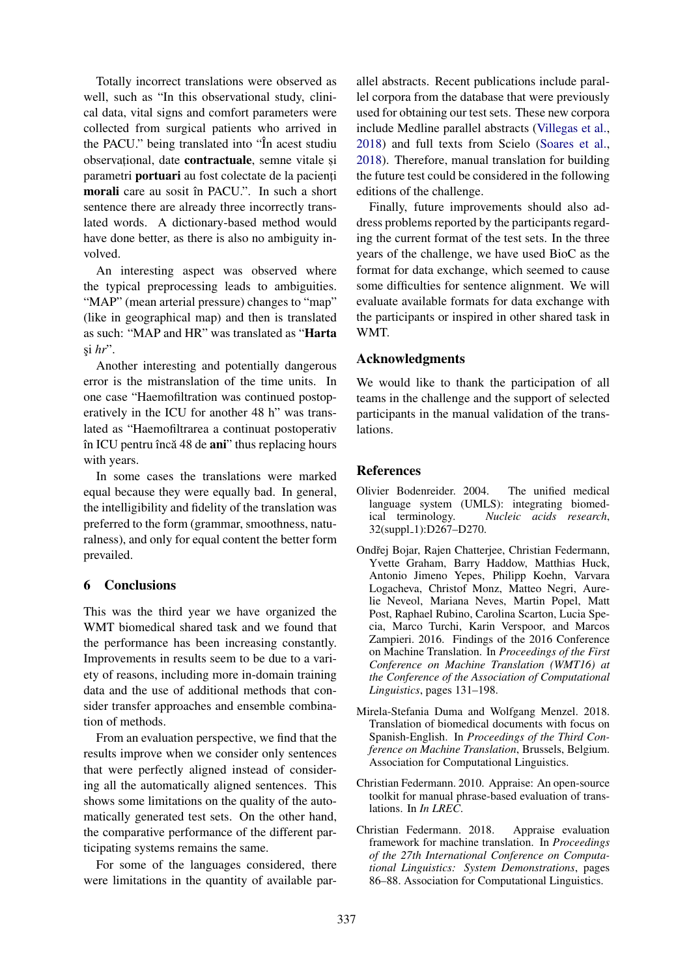Totally incorrect translations were observed as well, such as "In this observational study, clinical data, vital signs and comfort parameters were collected from surgical patients who arrived in the PACU." being translated into "In acest studiu observational, date contractuale, semne vitale si parametri **portuari** au fost colectate de la pacienti morali care au sosit în PACU.". In such a short sentence there are already three incorrectly translated words. A dictionary-based method would have done better, as there is also no ambiguity involved.

An interesting aspect was observed where the typical preprocessing leads to ambiguities. "MAP" (mean arterial pressure) changes to "map" (like in geographical map) and then is translated as such: "MAP and HR" was translated as "Harta si *hr*".

Another interesting and potentially dangerous error is the mistranslation of the time units. In one case "Haemofiltration was continued postoperatively in the ICU for another 48 h" was translated as "Haemofiltrarea a continuat postoperativ în ICU pentru încă 48 de  $\text{ani}$ " thus replacing hours with years.

In some cases the translations were marked equal because they were equally bad. In general, the intelligibility and fidelity of the translation was preferred to the form (grammar, smoothness, naturalness), and only for equal content the better form prevailed.

## 6 Conclusions

This was the third year we have organized the WMT biomedical shared task and we found that the performance has been increasing constantly. Improvements in results seem to be due to a variety of reasons, including more in-domain training data and the use of additional methods that consider transfer approaches and ensemble combination of methods.

From an evaluation perspective, we find that the results improve when we consider only sentences that were perfectly aligned instead of considering all the automatically aligned sentences. This shows some limitations on the quality of the automatically generated test sets. On the other hand, the comparative performance of the different participating systems remains the same.

For some of the languages considered, there were limitations in the quantity of available par-

allel abstracts. Recent publications include parallel corpora from the database that were previously used for obtaining our test sets. These new corpora include Medline parallel abstracts (Villegas et al., 2018) and full texts from Scielo (Soares et al., 2018). Therefore, manual translation for building the future test could be considered in the following editions of the challenge.

Finally, future improvements should also address problems reported by the participants regarding the current format of the test sets. In the three years of the challenge, we have used BioC as the format for data exchange, which seemed to cause some difficulties for sentence alignment. We will evaluate available formats for data exchange with the participants or inspired in other shared task in WMT.

## Acknowledgments

We would like to thank the participation of all teams in the challenge and the support of selected participants in the manual validation of the translations.

## References

- Olivier Bodenreider. 2004. The unified medical language system (UMLS): integrating biomedical terminology. *Nucleic acids research*, 32(suppl\_1):D267-D270.
- Ondřej Bojar, Rajen Chatterjee, Christian Federmann, Yvette Graham, Barry Haddow, Matthias Huck, Antonio Jimeno Yepes, Philipp Koehn, Varvara Logacheva, Christof Monz, Matteo Negri, Aurelie Neveol, Mariana Neves, Martin Popel, Matt Post, Raphael Rubino, Carolina Scarton, Lucia Specia, Marco Turchi, Karin Verspoor, and Marcos Zampieri. 2016. Findings of the 2016 Conference on Machine Translation. In *Proceedings of the First Conference on Machine Translation (WMT16) at the Conference of the Association of Computational Linguistics*, pages 131–198.
- Mirela-Stefania Duma and Wolfgang Menzel. 2018. Translation of biomedical documents with focus on Spanish-English. In *Proceedings of the Third Conference on Machine Translation*, Brussels, Belgium. Association for Computational Linguistics.
- Christian Federmann. 2010. Appraise: An open-source toolkit for manual phrase-based evaluation of translations. In *In LREC*.
- Christian Federmann. 2018. Appraise evaluation framework for machine translation. In *Proceedings of the 27th International Conference on Computational Linguistics: System Demonstrations*, pages 86–88. Association for Computational Linguistics.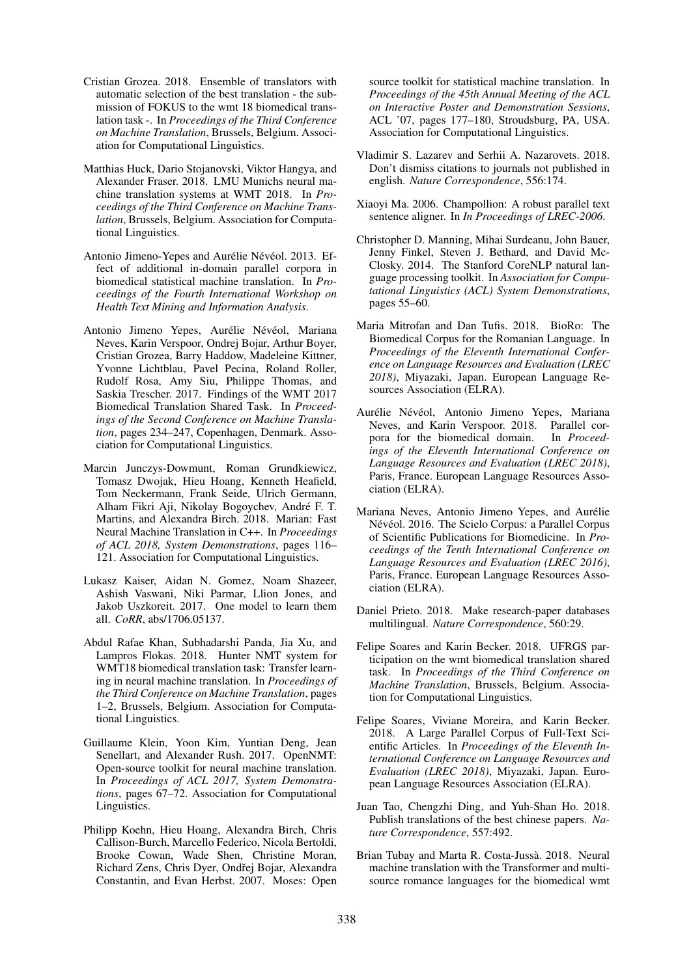- Cristian Grozea. 2018. Ensemble of translators with automatic selection of the best translation - the submission of FOKUS to the wmt 18 biomedical translation task -. In *Proceedings of the Third Conference on Machine Translation*, Brussels, Belgium. Association for Computational Linguistics.
- Matthias Huck, Dario Stojanovski, Viktor Hangya, and Alexander Fraser. 2018. LMU Munichs neural machine translation systems at WMT 2018. In *Proceedings of the Third Conference on Machine Translation*, Brussels, Belgium. Association for Computational Linguistics.
- Antonio Jimeno-Yepes and Aurélie Névéol. 2013. Effect of additional in-domain parallel corpora in biomedical statistical machine translation. In *Proceedings of the Fourth International Workshop on Health Text Mining and Information Analysis*.
- Antonio Jimeno Yepes, Aurélie Névéol, Mariana Neves, Karin Verspoor, Ondrej Bojar, Arthur Boyer, Cristian Grozea, Barry Haddow, Madeleine Kittner, Yvonne Lichtblau, Pavel Pecina, Roland Roller, Rudolf Rosa, Amy Siu, Philippe Thomas, and Saskia Trescher. 2017. Findings of the WMT 2017 Biomedical Translation Shared Task. In *Proceedings of the Second Conference on Machine Translation*, pages 234–247, Copenhagen, Denmark. Association for Computational Linguistics.
- Marcin Junczys-Dowmunt, Roman Grundkiewicz, Tomasz Dwojak, Hieu Hoang, Kenneth Heafield, Tom Neckermann, Frank Seide, Ulrich Germann, Alham Fikri Aji, Nikolay Bogoychev, Andre F. T. ´ Martins, and Alexandra Birch. 2018. Marian: Fast Neural Machine Translation in C++. In *Proceedings of ACL 2018, System Demonstrations*, pages 116– 121. Association for Computational Linguistics.
- Lukasz Kaiser, Aidan N. Gomez, Noam Shazeer, Ashish Vaswani, Niki Parmar, Llion Jones, and Jakob Uszkoreit. 2017. One model to learn them all. *CoRR*, abs/1706.05137.
- Abdul Rafae Khan, Subhadarshi Panda, Jia Xu, and Lampros Flokas. 2018. Hunter NMT system for WMT18 biomedical translation task: Transfer learning in neural machine translation. In *Proceedings of the Third Conference on Machine Translation*, pages 1–2, Brussels, Belgium. Association for Computational Linguistics.
- Guillaume Klein, Yoon Kim, Yuntian Deng, Jean Senellart, and Alexander Rush. 2017. OpenNMT: Open-source toolkit for neural machine translation. In *Proceedings of ACL 2017, System Demonstrations*, pages 67–72. Association for Computational Linguistics.
- Philipp Koehn, Hieu Hoang, Alexandra Birch, Chris Callison-Burch, Marcello Federico, Nicola Bertoldi, Brooke Cowan, Wade Shen, Christine Moran, Richard Zens, Chris Dyer, Ondřej Bojar, Alexandra Constantin, and Evan Herbst. 2007. Moses: Open

source toolkit for statistical machine translation. In *Proceedings of the 45th Annual Meeting of the ACL on Interactive Poster and Demonstration Sessions*, ACL '07, pages 177–180, Stroudsburg, PA, USA. Association for Computational Linguistics.

- Vladimir S. Lazarev and Serhii A. Nazarovets. 2018. Don't dismiss citations to journals not published in english. *Nature Correspondence*, 556:174.
- Xiaoyi Ma. 2006. Champollion: A robust parallel text sentence aligner. In *In Proceedings of LREC-2006*.
- Christopher D. Manning, Mihai Surdeanu, John Bauer, Jenny Finkel, Steven J. Bethard, and David Mc-Closky. 2014. The Stanford CoreNLP natural language processing toolkit. In *Association for Computational Linguistics (ACL) System Demonstrations*, pages 55–60.
- Maria Mitrofan and Dan Tufis. 2018. BioRo: The Biomedical Corpus for the Romanian Language. In *Proceedings of the Eleventh International Conference on Language Resources and Evaluation (LREC 2018)*, Miyazaki, Japan. European Language Resources Association (ELRA).
- Aurélie Névéol, Antonio Jimeno Yepes, Mariana Neves, and Karin Verspoor. 2018. Parallel corpora for the biomedical domain. In *Proceedings of the Eleventh International Conference on Language Resources and Evaluation (LREC 2018)*, Paris, France. European Language Resources Association (ELRA).
- Mariana Neves, Antonio Jimeno Yepes, and Aurelie ´ Névéol. 2016. The Scielo Corpus: a Parallel Corpus of Scientific Publications for Biomedicine. In *Proceedings of the Tenth International Conference on Language Resources and Evaluation (LREC 2016)*, Paris, France. European Language Resources Association (ELRA).
- Daniel Prieto. 2018. Make research-paper databases multilingual. *Nature Correspondence*, 560:29.
- Felipe Soares and Karin Becker. 2018. UFRGS participation on the wmt biomedical translation shared task. In *Proceedings of the Third Conference on Machine Translation*, Brussels, Belgium. Association for Computational Linguistics.
- Felipe Soares, Viviane Moreira, and Karin Becker. 2018. A Large Parallel Corpus of Full-Text Scientific Articles. In *Proceedings of the Eleventh International Conference on Language Resources and Evaluation (LREC 2018)*, Miyazaki, Japan. European Language Resources Association (ELRA).
- Juan Tao, Chengzhi Ding, and Yuh-Shan Ho. 2018. Publish translations of the best chinese papers. *Nature Correspondence*, 557:492.
- Brian Tubay and Marta R. Costa-Jussa. 2018. Neural ` machine translation with the Transformer and multisource romance languages for the biomedical wmt